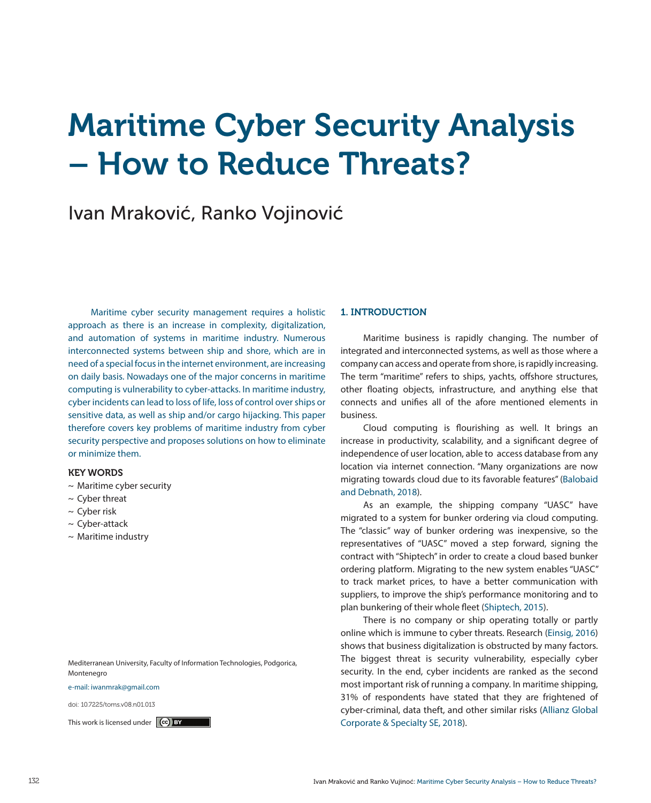# Maritime Cyber Security Analysis – How to Reduce Threats?

# Ivan Mraković, Ranko Vojinović

Maritime cyber security management requires a holistic approach as there is an increase in complexity, digitalization, and automation of systems in maritime industry. Numerous interconnected systems between ship and shore, which are in need of a special focus in the internet environment, are increasing on daily basis. Nowadays one of the major concerns in maritime computing is vulnerability to cyber-attacks. In maritime industry, cyber incidents can lead to loss of life, loss of control over ships or sensitive data, as well as ship and/or cargo hijacking. This paper therefore covers key problems of maritime industry from cyber security perspective and proposes solutions on how to eliminate or minimize them.

# KEY WORDS

- ~ Maritime cyber security
- $\sim$  Cyber threat
- $\sim$  Cyber risk
- $\sim$  Cyber-attack
- $\sim$  Maritime industry

Mediterranean University, Faculty of Information Technologies, Podgorica, Montenegro

#### e-mail: iwanmrak@gmail.com

doi: 10.7225/toms.v08.n01.013

#### 1. INTRODUCTION

Maritime business is rapidly changing. The number of integrated and interconnected systems, as well as those where a company can access and operate from shore, is rapidly increasing. The term "maritime" refers to ships, yachts, offshore structures, other floating objects, infrastructure, and anything else that connects and unifies all of the afore mentioned elements in business.

Cloud computing is flourishing as well. It brings an increase in productivity, scalability, and a significant degree of independence of user location, able to access database from any location via internet connection. "Many organizations are now migrating towards cloud due to its favorable features" (Balobaid and Debnath, 2018).

As an example, the shipping company "UASC" have migrated to a system for bunker ordering via cloud computing. The "classic" way of bunker ordering was inexpensive, so the representatives of "UASC" moved a step forward, signing the contract with "Shiptech" in order to create a cloud based bunker ordering platform. Migrating to the new system enables "UASC" to track market prices, to have a better communication with suppliers, to improve the ship's performance monitoring and to plan bunkering of their whole fleet (Shiptech, 2015).

There is no company or ship operating totally or partly online which is immune to cyber threats. Research (Einsig, 2016) shows that business digitalization is obstructed by many factors. The biggest threat is security vulnerability, especially cyber security. In the end, cyber incidents are ranked as the second most important risk of running a company. In maritime shipping, 31% of respondents have stated that they are frightened of cyber-criminal, data theft, and other similar risks (Allianz Global This work is licensed under  $\boxed{^{(c)}$  BY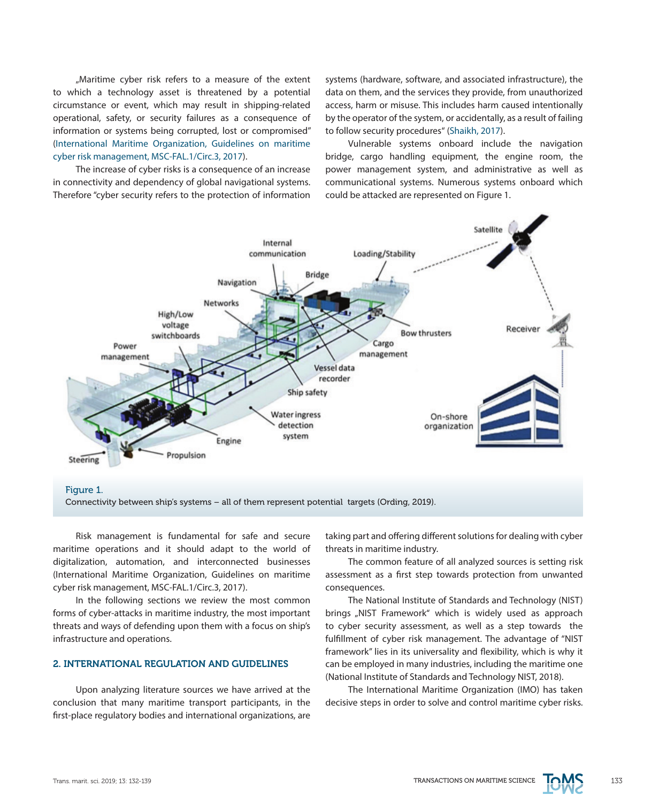"Maritime cyber risk refers to a measure of the extent to which a technology asset is threatened by a potential circumstance or event, which may result in shipping-related operational, safety, or security failures as a consequence of information or systems being corrupted, lost or compromised" (International Maritime Organization, Guidelines on maritime cyber risk management, MSC-FAL.1/Circ.3, 2017).

The increase of cyber risks is a consequence of an increase in connectivity and dependency of global navigational systems. Therefore "cyber security refers to the protection of information systems (hardware, software, and associated infrastructure), the data on them, and the services they provide, from unauthorized access, harm or misuse. This includes harm caused intentionally by the operator of the system, or accidentally, as a result of failing to follow security procedures" (Shaikh, 2017).

Vulnerable systems onboard include the navigation bridge, cargo handling equipment, the engine room, the power management system, and administrative as well as communicational systems. Numerous systems onboard which could be attacked are represented on Figure 1.



Figure 1.

Connectivity between ship's systems – all of them represent potential targets (Ording, 2019).

Risk management is fundamental for safe and secure maritime operations and it should adapt to the world of digitalization, automation, and interconnected businesses (International Maritime Organization, Guidelines on maritime cyber risk management, MSC-FAL.1/Circ.3, 2017).

In the following sections we review the most common forms of cyber-attacks in maritime industry, the most important threats and ways of defending upon them with a focus on ship's infrastructure and operations.

### 2. INTERNATIONAL REGULATION AND GUIDELINES

Upon analyzing literature sources we have arrived at the conclusion that many maritime transport participants, in the first-place regulatory bodies and international organizations, are taking part and offering different solutions for dealing with cyber threats in maritime industry.

The common feature of all analyzed sources is setting risk assessment as a first step towards protection from unwanted consequences.

The National Institute of Standards and Technology (NIST) brings "NIST Framework" which is widely used as approach to cyber security assessment, as well as a step towards the fulfillment of cyber risk management. The advantage of "NIST framework" lies in its universality and flexibility, which is why it can be employed in many industries, including the maritime one (National Institute of Standards and Technology NIST, 2018).

The International Maritime Organization (IMO) has taken decisive steps in order to solve and control maritime cyber risks.

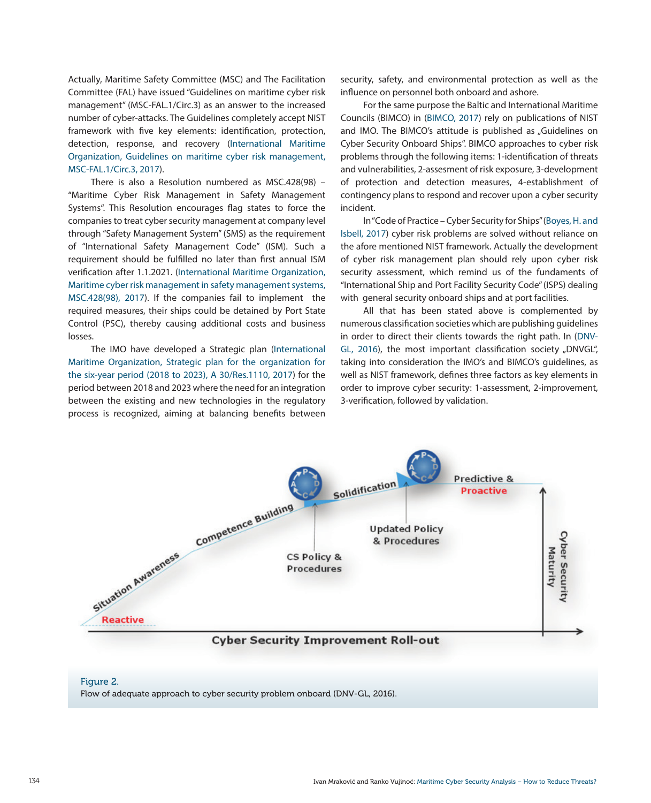Actually, Maritime Safety Committee (MSC) and The Facilitation Committee (FAL) have issued "Guidelines on maritime cyber risk management" (MSC-FAL.1/Circ.3) as an answer to the increased number of cyber-attacks. The Guidelines completely accept NIST framework with five key elements: identification, protection, detection, response, and recovery (International Maritime Organization, Guidelines on maritime cyber risk management, MSC-FAL.1/Circ.3, 2017).

There is also a Resolution numbered as MSC.428(98) – "Maritime Cyber Risk Management in Safety Management Systems". This Resolution encourages flag states to force the companies to treat cyber security management at company level through "Safety Management System" (SMS) as the requirement of "International Safety Management Code" (ISM). Such a requirement should be fulfilled no later than first annual ISM verification after 1.1.2021. (International Maritime Organization, Maritime cyber risk management in safety management systems, MSC.428(98), 2017). If the companies fail to implement the required measures, their ships could be detained by Port State Control (PSC), thereby causing additional costs and business losses.

The IMO have developed a Strategic plan (International Maritime Organization, Strategic plan for the organization for the six-year period (2018 to 2023), A 30/Res.1110, 2017) for the period between 2018 and 2023 where the need for an integration between the existing and new technologies in the regulatory process is recognized, aiming at balancing benefits between security, safety, and environmental protection as well as the influence on personnel both onboard and ashore.

For the same purpose the Baltic and International Maritime Councils (BIMCO) in (BIMCO, 2017) rely on publications of NIST and IMO. The BIMCO's attitude is published as "Guidelines on Cyber Security Onboard Ships". BIMCO approaches to cyber risk problems through the following items: 1-identification of threats and vulnerabilities, 2-assesment of risk exposure, 3-development of protection and detection measures, 4-establishment of contingency plans to respond and recover upon a cyber security incident.

In "Code of Practice – Cyber Security for Ships" (Boyes, H. and Isbell, 2017) cyber risk problems are solved without reliance on the afore mentioned NIST framework. Actually the development of cyber risk management plan should rely upon cyber risk security assessment, which remind us of the fundaments of "International Ship and Port Facility Security Code" (ISPS) dealing with general security onboard ships and at port facilities.

All that has been stated above is complemented by numerous classification societies which are publishing guidelines in order to direct their clients towards the right path. In (DNV-GL, 2016), the most important classification society "DNVGL", taking into consideration the IMO's and BIMCO's guidelines, as well as NIST framework, defines three factors as key elements in order to improve cyber security: 1-assessment, 2-improvement, 3-verification, followed by validation.



#### Figure 2.

Flow of adequate approach to cyber security problem onboard (DNV-GL, 2016).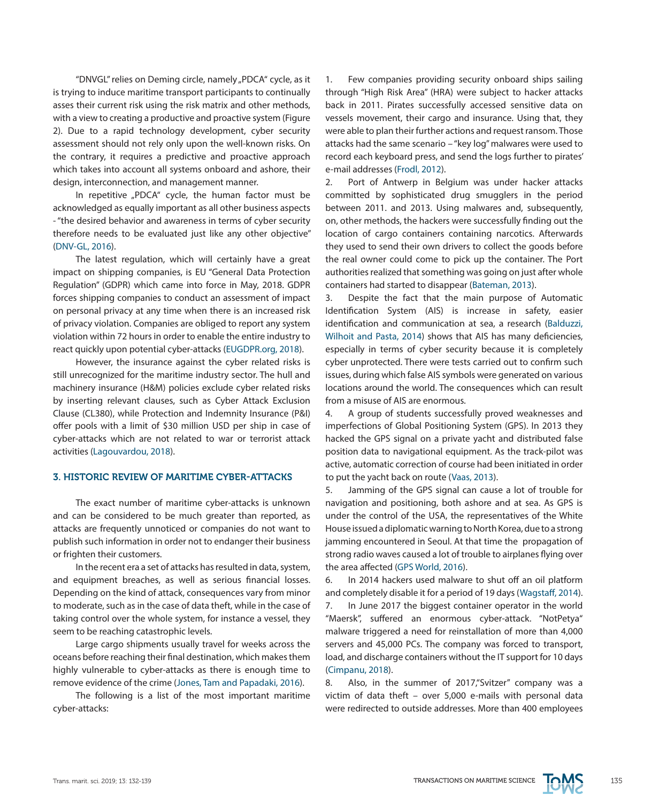"DNVGL" relies on Deming circle, namely "PDCA" cycle, as it is trying to induce maritime transport participants to continually asses their current risk using the risk matrix and other methods, with a view to creating a productive and proactive system (Figure 2). Due to a rapid technology development, cyber security assessment should not rely only upon the well-known risks. On the contrary, it requires a predictive and proactive approach which takes into account all systems onboard and ashore, their design, interconnection, and management manner.

In repetitive "PDCA" cycle, the human factor must be acknowledged as equally important as all other business aspects - "the desired behavior and awareness in terms of cyber security therefore needs to be evaluated just like any other objective" (DNV-GL, 2016).

The latest regulation, which will certainly have a great impact on shipping companies, is EU "General Data Protection Regulation" (GDPR) which came into force in May, 2018. GDPR forces shipping companies to conduct an assessment of impact on personal privacy at any time when there is an increased risk of privacy violation. Companies are obliged to report any system violation within 72 hours in order to enable the entire industry to react quickly upon potential cyber-attacks (EUGDPR.org, 2018).

However, the insurance against the cyber related risks is still unrecognized for the maritime industry sector. The hull and machinery insurance (H&M) policies exclude cyber related risks by inserting relevant clauses, such as Cyber Attack Exclusion Clause (CL380), while Protection and Indemnity Insurance (P&I) offer pools with a limit of \$30 million USD per ship in case of cyber-attacks which are not related to war or terrorist attack activities (Lagouvardou, 2018).

#### 3. HISTORIC REVIEW OF MARITIME CYBER-ATTACKS

The exact number of maritime cyber-attacks is unknown and can be considered to be much greater than reported, as attacks are frequently unnoticed or companies do not want to publish such information in order not to endanger their business or frighten their customers.

In the recent era a set of attacks has resulted in data, system, and equipment breaches, as well as serious financial losses. Depending on the kind of attack, consequences vary from minor to moderate, such as in the case of data theft, while in the case of taking control over the whole system, for instance a vessel, they seem to be reaching catastrophic levels.

Large cargo shipments usually travel for weeks across the oceans before reaching their final destination, which makes them highly vulnerable to cyber-attacks as there is enough time to remove evidence of the crime (Jones, Tam and Papadaki, 2016).

The following is a list of the most important maritime cyber-attacks:

1. Few companies providing security onboard ships sailing through "High Risk Area" (HRA) were subject to hacker attacks back in 2011. Pirates successfully accessed sensitive data on vessels movement, their cargo and insurance. Using that, they were able to plan their further actions and request ransom. Those attacks had the same scenario – "key log" malwares were used to record each keyboard press, and send the logs further to pirates' e-mail addresses (Frodl, 2012).

2. Port of Antwerp in Belgium was under hacker attacks committed by sophisticated drug smugglers in the period between 2011. and 2013. Using malwares and, subsequently, on, other methods, the hackers were successfully finding out the location of cargo containers containing narcotics. Afterwards they used to send their own drivers to collect the goods before the real owner could come to pick up the container. The Port authorities realized that something was going on just after whole containers had started to disappear (Bateman, 2013).

3. Despite the fact that the main purpose of Automatic Identification System (AIS) is increase in safety, easier identification and communication at sea, a research (Balduzzi, Wilhoit and Pasta, 2014) shows that AIS has many deficiencies, especially in terms of cyber security because it is completely cyber unprotected. There were tests carried out to confirm such issues, during which false AIS symbols were generated on various locations around the world. The consequences which can result from a misuse of AIS are enormous.

4. A group of students successfully proved weaknesses and imperfections of Global Positioning System (GPS). In 2013 they hacked the GPS signal on a private yacht and distributed false position data to navigational equipment. As the track-pilot was active, automatic correction of course had been initiated in order to put the yacht back on route (Vaas, 2013).

5. Jamming of the GPS signal can cause a lot of trouble for navigation and positioning, both ashore and at sea. As GPS is under the control of the USA, the representatives of the White House issued a diplomatic warning to North Korea, due to a strong jamming encountered in Seoul. At that time the propagation of strong radio waves caused a lot of trouble to airplanes flying over the area affected (GPS World, 2016).

6. In 2014 hackers used malware to shut off an oil platform and completely disable it for a period of 19 days (Wagstaff, 2014). 7. In June 2017 the biggest container operator in the world "Maersk", suffered an enormous cyber-attack. "NotPetya" malware triggered a need for reinstallation of more than 4,000 servers and 45,000 PCs. The company was forced to transport, load, and discharge containers without the IT support for 10 days (Cimpanu, 2018).

8. Also, in the summer of 2017,"Svitzer" company was a victim of data theft – over 5,000 e-mails with personal data were redirected to outside addresses. More than 400 employees

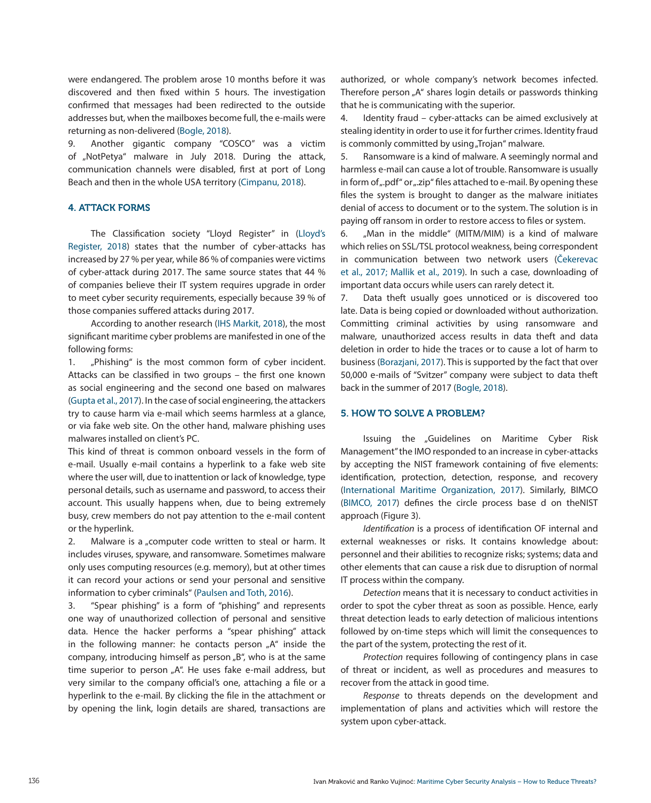were endangered. The problem arose 10 months before it was discovered and then fixed within 5 hours. The investigation confirmed that messages had been redirected to the outside addresses but, when the mailboxes become full, the e-mails were returning as non-delivered (Bogle, 2018).

9. Another gigantic company "COSCO" was a victim of "NotPetya" malware in July 2018. During the attack, communication channels were disabled, first at port of Long Beach and then in the whole USA territory (Cimpanu, 2018).

#### 4. ATTACK FORMS

The Classification society "Lloyd Register" in (Lloyd's Register, 2018) states that the number of cyber-attacks has increased by 27 % per year, while 86 % of companies were victims of cyber-attack during 2017. The same source states that 44 % of companies believe their IT system requires upgrade in order to meet cyber security requirements, especially because 39 % of those companies suffered attacks during 2017.

According to another research (IHS Markit, 2018), the most significant maritime cyber problems are manifested in one of the following forms:

1. "Phishing" is the most common form of cyber incident. Attacks can be classified in two groups – the first one known as social engineering and the second one based on malwares (Gupta et al., 2017). In the case of social engineering, the attackers try to cause harm via e-mail which seems harmless at a glance, or via fake web site. On the other hand, malware phishing uses malwares installed on client's PC.

This kind of threat is common onboard vessels in the form of e-mail. Usually e-mail contains a hyperlink to a fake web site where the user will, due to inattention or lack of knowledge, type personal details, such as username and password, to access their account. This usually happens when, due to being extremely busy, crew members do not pay attention to the e-mail content or the hyperlink.

2. Malware is a "computer code written to steal or harm. It includes viruses, spyware, and ransomware. Sometimes malware only uses computing resources (e.g. memory), but at other times it can record your actions or send your personal and sensitive information to cyber criminals" (Paulsen and Toth, 2016).

3. "Spear phishing" is a form of "phishing" and represents one way of unauthorized collection of personal and sensitive data. Hence the hacker performs a "spear phishing" attack in the following manner: he contacts person "A" inside the company, introducing himself as person "B", who is at the same time superior to person "A". He uses fake e-mail address, but very similar to the company official's one, attaching a file or a hyperlink to the e-mail. By clicking the file in the attachment or by opening the link, login details are shared, transactions are

authorized, or whole company's network becomes infected. Therefore person "A" shares login details or passwords thinking that he is communicating with the superior.

4. Identity fraud – cyber-attacks can be aimed exclusively at stealing identity in order to use it for further crimes. Identity fraud is commonly committed by using "Trojan" malware.

5. Ransomware is a kind of malware. A seemingly normal and harmless e-mail can cause a lot of trouble. Ransomware is usually in form of ".pdf" or ".zip" files attached to e-mail. By opening these files the system is brought to danger as the malware initiates denial of access to document or to the system. The solution is in paying off ransom in order to restore access to files or system.

6. "Man in the middle" (MITM/MIM) is a kind of malware which relies on SSL/TSL protocol weakness, being correspondent in communication between two network users (Čekerevac et al., 2017; Mallik et al., 2019). In such a case, downloading of important data occurs while users can rarely detect it.

7. Data theft usually goes unnoticed or is discovered too late. Data is being copied or downloaded without authorization. Committing criminal activities by using ransomware and malware, unauthorized access results in data theft and data deletion in order to hide the traces or to cause a lot of harm to business (Borazjani, 2017). This is supported by the fact that over 50,000 e-mails of "Svitzer" company were subject to data theft back in the summer of 2017 (Bogle, 2018).

#### 5. HOW TO SOLVE A PROBLEM?

Issuing the "Guidelines on Maritime Cyber Risk Management" the IMO responded to an increase in cyber-attacks by accepting the NIST framework containing of five elements: identification, protection, detection, response, and recovery (International Maritime Organization, 2017). Similarly, BIMCO (BIMCO, 2017) defines the circle process base d on theNIST approach (Figure 3).

*Identification* is a process of identification OF internal and external weaknesses or risks. It contains knowledge about: personnel and their abilities to recognize risks; systems; data and other elements that can cause a risk due to disruption of normal IT process within the company.

*Detection* means that it is necessary to conduct activities in order to spot the cyber threat as soon as possible. Hence, early threat detection leads to early detection of malicious intentions followed by on-time steps which will limit the consequences to the part of the system, protecting the rest of it.

*Protection* requires following of contingency plans in case of threat or incident, as well as procedures and measures to recover from the attack in good time.

*Response* to threats depends on the development and implementation of plans and activities which will restore the system upon cyber-attack.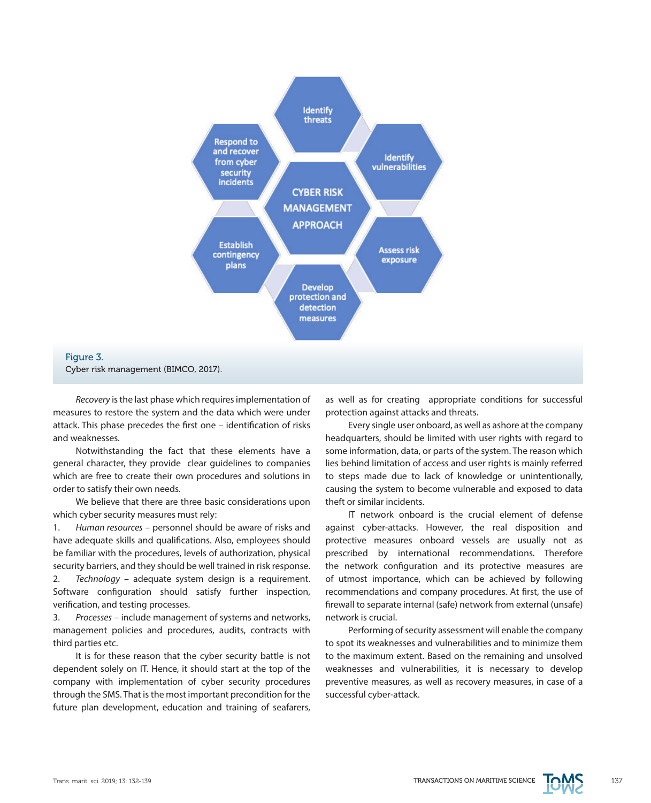

# Figure 3. Cyber risk management (BIMCO, 2017).

*Recovery* is the last phase which requires implementation of measures to restore the system and the data which were under attack. This phase precedes the first one – identification of risks and weaknesses.

Notwithstanding the fact that these elements have a general character, they provide clear guidelines to companies which are free to create their own procedures and solutions in order to satisfy their own needs.

We believe that there are three basic considerations upon which cyber security measures must rely:

1. *Human resources* – personnel should be aware of risks and have adequate skills and qualifications. Also, employees should be familiar with the procedures, levels of authorization, physical security barriers, and they should be well trained in risk response. 2. *Technology* – adequate system design is a requirement. Software configuration should satisfy further inspection, verification, and testing processes.

3. *Processes* – include management of systems and networks, management policies and procedures, audits, contracts with third parties etc.

It is for these reason that the cyber security battle is not dependent solely on IT. Hence, it should start at the top of the company with implementation of cyber security procedures through the SMS. That is the most important precondition for the future plan development, education and training of seafarers,

as well as for creating appropriate conditions for successful protection against attacks and threats.

Every single user onboard, as well as ashore at the company headquarters, should be limited with user rights with regard to some information, data, or parts of the system. The reason which lies behind limitation of access and user rights is mainly referred to steps made due to lack of knowledge or unintentionally, causing the system to become vulnerable and exposed to data theft or similar incidents.

IT network onboard is the crucial element of defense against cyber-attacks. However, the real disposition and protective measures onboard vessels are usually not as prescribed by international recommendations. Therefore the network configuration and its protective measures are of utmost importance, which can be achieved by following recommendations and company procedures. At first, the use of firewall to separate internal (safe) network from external (unsafe) network is crucial.

Performing of security assessment will enable the company to spot its weaknesses and vulnerabilities and to minimize them to the maximum extent. Based on the remaining and unsolved weaknesses and vulnerabilities, it is necessary to develop preventive measures, as well as recovery measures, in case of a successful cyber-attack.

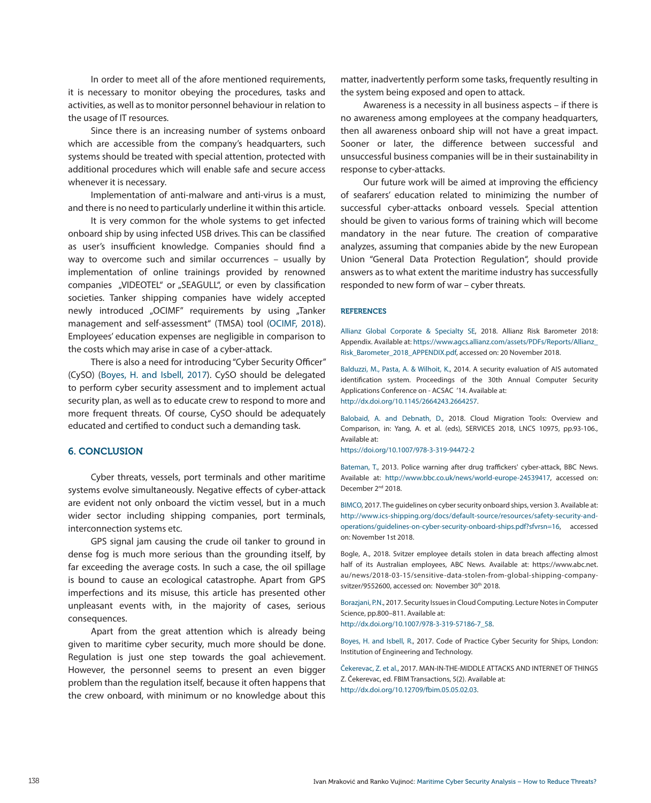In order to meet all of the afore mentioned requirements, it is necessary to monitor obeying the procedures, tasks and activities, as well as to monitor personnel behaviour in relation to the usage of IT resources.

Since there is an increasing number of systems onboard which are accessible from the company's headquarters, such systems should be treated with special attention, protected with additional procedures which will enable safe and secure access whenever it is necessary.

Implementation of anti-malware and anti-virus is a must, and there is no need to particularly underline it within this article.

It is very common for the whole systems to get infected onboard ship by using infected USB drives. This can be classified as user's insufficient knowledge. Companies should find a way to overcome such and similar occurrences – usually by implementation of online trainings provided by renowned companies "VIDEOTEL" or "SEAGULL", or even by classification societies. Tanker shipping companies have widely accepted newly introduced "OCIMF" requirements by using "Tanker management and self-assessment" (TMSA) tool (OCIMF, 2018). Employees' education expenses are negligible in comparison to the costs which may arise in case of a cyber-attack.

There is also a need for introducing "Cyber Security Officer" (CySO) (Boyes, H. and Isbell, 2017). CySO should be delegated to perform cyber security assessment and to implement actual security plan, as well as to educate crew to respond to more and more frequent threats. Of course, CySO should be adequately educated and certified to conduct such a demanding task.

#### 6. CONCLUSION

Cyber threats, vessels, port terminals and other maritime systems evolve simultaneously. Negative effects of cyber-attack are evident not only onboard the victim vessel, but in a much wider sector including shipping companies, port terminals, interconnection systems etc.

GPS signal jam causing the crude oil tanker to ground in dense fog is much more serious than the grounding itself, by far exceeding the average costs. In such a case, the oil spillage is bound to cause an ecological catastrophe. Apart from GPS imperfections and its misuse, this article has presented other unpleasant events with, in the majority of cases, serious consequences.

Apart from the great attention which is already being given to maritime cyber security, much more should be done. Regulation is just one step towards the goal achievement. However, the personnel seems to present an even bigger problem than the regulation itself, because it often happens that the crew onboard, with minimum or no knowledge about this matter, inadvertently perform some tasks, frequently resulting in the system being exposed and open to attack.

Awareness is a necessity in all business aspects – if there is no awareness among employees at the company headquarters, then all awareness onboard ship will not have a great impact. Sooner or later, the difference between successful and unsuccessful business companies will be in their sustainability in response to cyber-attacks.

Our future work will be aimed at improving the efficiency of seafarers' education related to minimizing the number of successful cyber-attacks onboard vessels. Special attention should be given to various forms of training which will become mandatory in the near future. The creation of comparative analyzes, assuming that companies abide by the new European Union "General Data Protection Regulation", should provide answers as to what extent the maritime industry has successfully responded to new form of war – cyber threats.

#### **REFERENCES**

Allianz Global Corporate & Specialty SE, 2018. Allianz Risk Barometer 2018: Appendix. Available at: [https://www.agcs.allianz.com/assets/PDFs/Reports/Allianz\\_](https://www.agcs.allianz.com/assets/PDFs/Reports/Allianz_Risk_Barometer_2018_APPENDIX.pdf) [Risk\\_Barometer\\_2018\\_APPENDIX.pdf](https://www.agcs.allianz.com/assets/PDFs/Reports/Allianz_Risk_Barometer_2018_APPENDIX.pdf), accessed on: 20 November 2018.

Balduzzi, M., Pasta, A. & Wilhoit, K., 2014. A security evaluation of AIS automated identification system. Proceedings of the 30th Annual Computer Security Applications Conference on - ACSAC '14. Available at: [http://dx.doi.org/10.1145/2664243.2664257.](http://dx.doi.org/10.1145/2664243.2664257)

Balobaid, A. and Debnath, D., 2018. Cloud Migration Tools: Overview and Comparison, in: Yang, A. et al. (eds), SERVICES 2018, LNCS 10975, pp.93-106., Available at: <https://doi.org/10.1007/978-3-319-94472-2>

Bateman, T., 2013. Police warning after drug traffickers' cyber-attack, BBC News. Available at: <http://www.bbc.co.uk/news/world-europe-24539417>, accessed on: December 2<sup>nd</sup> 2018.

BIMCO, 2017. The guidelines on cyber security onboard ships, version 3. Available at: [http://www.ics-shipping.org/docs/default-source/resources/safety-security-and](http://www.ics-shipping.org/docs/default-source/resources/safety-security-and-operations/guidelines-on-cyber-security-onboard-ships.pdf%3Fsfvrsn%3D16)[operations/guidelines-on-cyber-security-onboard-ships.pdf?sfvrsn=16,](http://www.ics-shipping.org/docs/default-source/resources/safety-security-and-operations/guidelines-on-cyber-security-onboard-ships.pdf%3Fsfvrsn%3D16) accessed on: November 1st 2018.

Bogle, A., 2018. Svitzer employee details stolen in data breach affecting almost half of its Australian employees, ABC News. Available at: https://www.abc.net. au/news/2018-03-15/sensitive-data-stolen-from-global-shipping-companysvitzer/9552600, accessed on: November 30<sup>th</sup> 2018.

Borazjani, P.N., 2017. Security Issues in Cloud Computing. Lecture Notes in Computer Science, pp.800–811. Available at: [http://dx.doi.org/10.1007/978-3-319-57186-7\\_58.](http://dx.doi.org/10.1007/978-3-319-57186-7_58)

Boyes, H. and Isbell, R., 2017. Code of Practice Cyber Security for Ships, London: Institution of Engineering and Technology.

Čekerevac, Z. et al., 2017. MAN-IN-THE-MIDDLE ATTACKS AND INTERNET OF THINGS Z. Čekerevac, ed. FBIM Transactions, 5(2). Available at: [http://dx.doi.org/10.12709/fbim.05.05.02.03.](http://dx.doi.org/10.12709/fbim.05.05.02.03)